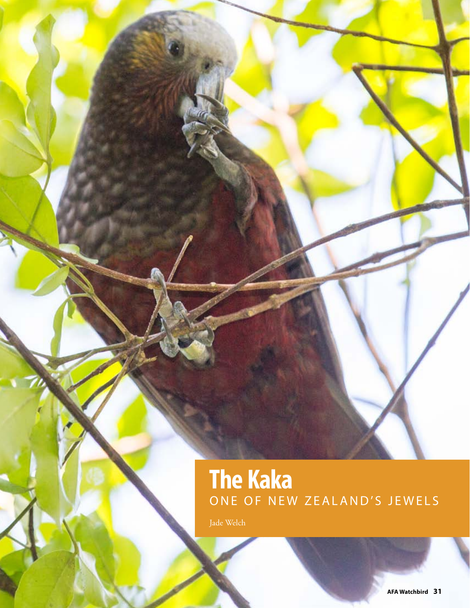# **The Kaka** ONE OF NEW ZEALAND'S JEWELS

Jade Welch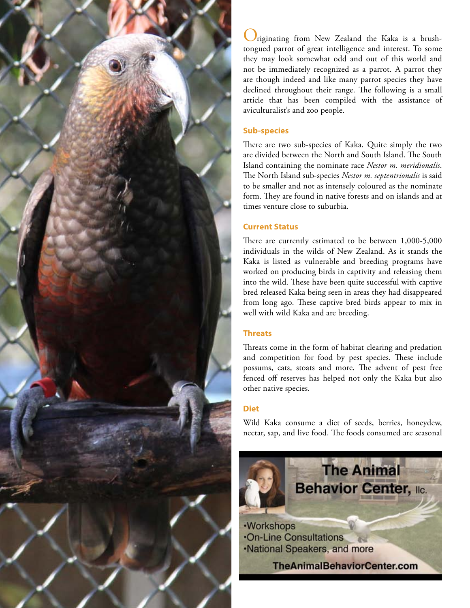

riginating from New Zealand the Kaka is a brushtongued parrot of great intelligence and interest. To some they may look somewhat odd and out of this world and not be immediately recognized as a parrot. A parrot they are though indeed and like many parrot species they have declined throughout their range. The following is a small article that has been compiled with the assistance of aviculturalist's and zoo people.

#### **Sub-species**

There are two sub-species of Kaka. Quite simply the two are divided between the North and South Island. The South Island containing the nominate race *Nestor m. meridionalis*. The North Island sub-species *Nestor m. septentrionalis* is said to be smaller and not as intensely coloured as the nominate form. They are found in native forests and on islands and at times venture close to suburbia.

#### **Current Status**

There are currently estimated to be between  $1,000-5,000$ individuals in the wilds of New Zealand. As it stands the Kaka is listed as vulnerable and breeding programs have worked on producing birds in captivity and releasing them into the wild. These have been quite successful with captive bred released Kaka being seen in areas they had disappeared from long ago. These captive bred birds appear to mix in well with wild Kaka and are breeding.

#### **Threats**

Threats come in the form of habitat clearing and predation and competition for food by pest species. These include possums, cats, stoats and more. The advent of pest free fenced off reserves has helped not only the Kaka but also other native species.

#### **Diet**

Wild Kaka consume a diet of seeds, berries, honeydew, nectar, sap, and live food. The foods consumed are seasonal

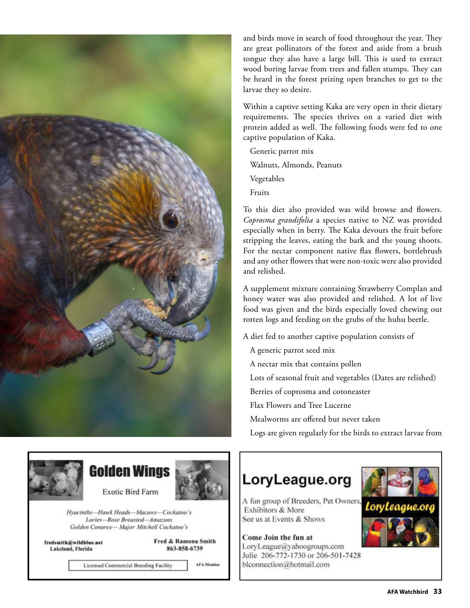

and birds move in search of food throughout the year. They are great pollinators of the forest and aside from a brush tongue they also have a large bill. This is used to extract wood boring larvae from trees and fallen stumps. They can be heard in the forest prizing open branches to get to the larvae they so desire.

Within a captive setting Kaka are very open in their dietary requirements. The species thrives on a varied diet with protein added as well. The following foods were fed to one captive population of Kaka.

Generic parrot mix Walnuts, Almonds, Peanuts Vegetables Fruits

To this diet also provided was wild browse and fowers. *Coprosma grandifolia* a species native to NZ was provided especially when in berry. The Kaka devours the fruit before stripping the leaves, eating the bark and the young shoots. For the nectar component native flax flowers, bottlebrush and any other fowers that were non-toxic were also provided and relished.

A supplement mixture containing Strawberry Complan and honey water was also provided and relished. A lot of live food was given and the birds especially loved chewing out rotten logs and feeding on the grubs of the huhu beetle.

A diet fed to another captive population consists of

- A generic parrot seed mix
- A nectar mix that contains pollen
- Lots of seasonal fruit and vegetables (Dates are relished)
- Berries of coprosma and cotoneaster
- Flax Flowers and Tree Lucerne
- Mealworms are ofered but never taken
- Logs are given regularly for the birds to extract larvae from



### **Golden Wings**



**Exotic Bird Farm** 

Hyacinths-Hawk Heads-Macaws-Cockatoo's Lories-Rose Breasted-Amazons Golden Conures-Major Mitchell Cockatoo's

fredsmith@wildblue.net Lakeland, Florida

Fred & Ramona Smith 863-858-6739

**Licensed Commercial Breeding Facility** 

**AFA Member** 

### LoryLeague.org



Come Join the fun at LoryLeague@yahoogroups.com Julie 206-772-1730 or 206-501-7428 blconnection@hotmail.com



LoruLeague.or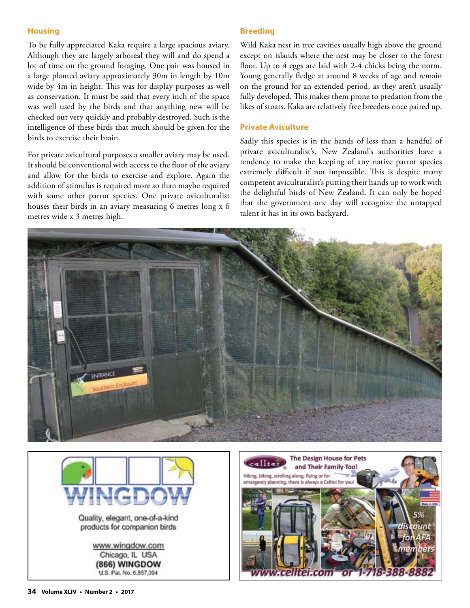#### **Housing**

To be fully appreciated Kaka require a large spacious aviary. Although they are largely arboreal they will and do spend a lot of time on the ground foraging. One pair was housed in a large planted aviary approximately 30m in length by 10m wide by 4m in height. This was for display purposes as well as conservation. It must be said that every inch of the space was well used by the birds and that anything new will be checked out very quickly and probably destroyed. Such is the intelligence of these birds that much should be given for the birds to exercise their brain.

For private avicultural purposes a smaller aviary may be used. It should be conventional with access to the floor of the aviary and allow for the birds to exercise and explore. Again the addition of stimulus is required more so than maybe required with some other parrot species. One private aviculturalist houses their birds in an aviary measuring 6 metres long x 6 metres wide x 3 metres high.

#### **Breeding**

Wild Kaka nest in tree cavities usually high above the ground except on islands where the nest may be closer to the forest foor. Up to 4 eggs are laid with 2-4 chicks being the norm. Young generally fedge at around 8 weeks of age and remain on the ground for an extended period, as they aren't usually fully developed. This makes them prone to predation from the likes of stoats. Kaka are relatively free breeders once paired up.

#### **Private Aviculture**

Sadly this species is in the hands of less than a handful of private aviculturalist's. New Zealand's authorities have a tendency to make the keeping of any native parrot species extremely difficult if not impossible. This is despite many competent aviculturalist's putting their hands up to work with the delightful birds of New Zealand. It can only be hoped that the government one day will recognize the untapped talent it has in its own backyard.





www.wingdow.com Chicago, IL USA (866) WINGDOW U.S. Pat. No. 6,857,394